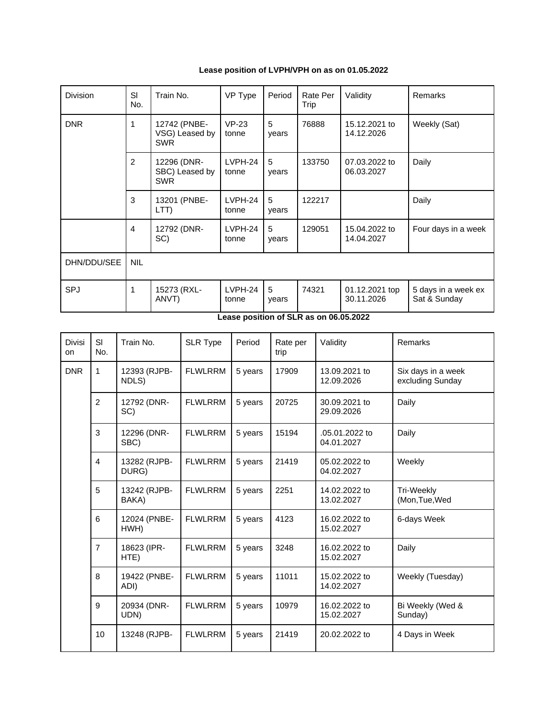**Lease position of LVPH/VPH on as on 01.05.2022**

| Division    | SI<br>No.      | Train No.                                    | VP Type          | Period     | Rate Per<br>Trip | Validity                     | Remarks                             |
|-------------|----------------|----------------------------------------------|------------------|------------|------------------|------------------------------|-------------------------------------|
| <b>DNR</b>  | 1              | 12742 (PNBE-<br>VSG) Leased by<br><b>SWR</b> | $VP-23$<br>tonne | 5<br>years | 76888            | 15.12.2021 to<br>14.12.2026  | Weekly (Sat)                        |
|             | $\overline{2}$ | 12296 (DNR-<br>SBC) Leased by<br><b>SWR</b>  | LVPH-24<br>tonne | 5<br>years | 133750           | 07.03.2022 to<br>06.03.2027  | Daily                               |
|             | 3              | 13201 (PNBE-<br>LTT)                         | LVPH-24<br>tonne | 5<br>years | 122217           |                              | Daily                               |
|             | $\overline{4}$ | 12792 (DNR-<br>SC)                           | LVPH-24<br>tonne | 5<br>years | 129051           | 15.04.2022 to<br>14.04.2027  | Four days in a week                 |
| DHN/DDU/SEE | <b>NIL</b>     |                                              |                  |            |                  |                              |                                     |
| <b>SPJ</b>  | 1              | 15273 (RXL-<br>ANVT)                         | LVPH-24<br>tonne | 5<br>years | 74321            | 01.12.2021 top<br>30.11.2026 | 5 days in a week ex<br>Sat & Sunday |

| Lease position of SLR as on 06.05.2022 |  |  |  |
|----------------------------------------|--|--|--|
|                                        |  |  |  |

| <b>Divisi</b><br>on | SI<br>No.                             | Train No.             | <b>SLR Type</b> | Period  | Rate per<br>trip | Validity                     | Remarks                                |
|---------------------|---------------------------------------|-----------------------|-----------------|---------|------------------|------------------------------|----------------------------------------|
| <b>DNR</b>          | $\mathbf{1}$<br>12393 (RJPB-<br>NDLS) |                       | <b>FLWLRRM</b>  | 5 years | 17909            | 13.09.2021 to<br>12.09.2026  | Six days in a week<br>excluding Sunday |
|                     | 2                                     | 12792 (DNR-<br>SC)    | <b>FLWLRRM</b>  | 5 years | 20725            | 30.09.2021 to<br>29.09.2026  | Daily                                  |
|                     | 3                                     | 12296 (DNR-<br>SBC)   | <b>FLWLRRM</b>  | 5 years | 15194            | .05.01.2022 to<br>04.01.2027 | Daily                                  |
|                     | $\overline{4}$                        | 13282 (RJPB-<br>DURG) | <b>FLWLRRM</b>  | 5 years | 21419            | 05.02.2022 to<br>04.02.2027  | Weekly                                 |
|                     | 5                                     | 13242 (RJPB-<br>BAKA) | <b>FLWLRRM</b>  | 5 years | 2251             | 14.02.2022 to<br>13.02.2027  | Tri-Weekly<br>(Mon, Tue, Wed           |
|                     | 6                                     | 12024 (PNBE-<br>HWH)  | <b>FLWLRRM</b>  | 5 years | 4123             | 16.02.2022 to<br>15.02.2027  | 6-days Week                            |
|                     | $\overline{7}$                        | 18623 (IPR-<br>HTE)   | <b>FLWLRRM</b>  | 5 years | 3248             | 16.02.2022 to<br>15.02.2027  | Daily                                  |
|                     | 8                                     | 19422 (PNBE-<br>ADI)  | <b>FLWLRRM</b>  | 5 years | 11011            | 15.02.2022 to<br>14.02.2027  | Weekly (Tuesday)                       |
|                     | 9                                     | 20934 (DNR-<br>UDN)   | <b>FLWLRRM</b>  | 5 years | 10979            | 16.02.2022 to<br>15.02.2027  | Bi Weekly (Wed &<br>Sunday)            |
|                     | 10                                    | 13248 (RJPB-          | <b>FLWLRRM</b>  | 5 years | 21419            | 20.02.2022 to                | 4 Days in Week                         |